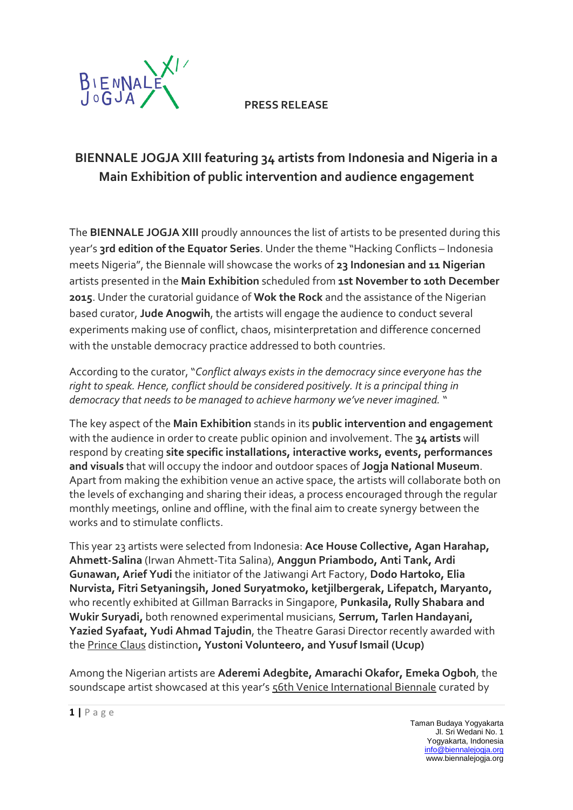

**PRESS RELEASE**

## **BIENNALE JOGJA XIII featuring 34 artists from Indonesia and Nigeria in a Main Exhibition of public intervention and audience engagement**

The **BIENNALE JOGJA XIII** proudly announces the list of artists to be presented during this year's **3rd edition of the Equator Series**. Under the theme "Hacking Conflicts – Indonesia meets Nigeria", the Biennale will showcase the works of **23 Indonesian and 11 Nigerian** artists presented in the **Main Exhibition** scheduled from **1st November to 10th December 2015**. Under the curatorial guidance of **Wok the Rock** and the assistance of the Nigerian based curator, **Jude Anogwih**, the artists will engage the audience to conduct several experiments making use of conflict, chaos, misinterpretation and difference concerned with the unstable democracy practice addressed to both countries.

According to the curator, "*Conflict always exists in the democracy since everyone has the right to speak. Hence, conflict should be considered positively. It is a principal thing in democracy that needs to be managed to achieve harmony we've never imagined.* "

The key aspect of the **Main Exhibition** stands in its **public intervention and engagement** with the audience in order to create public opinion and involvement. The **34 artists** will respond by creating **site specific installations, interactive works, events, performances and visuals** that will occupy the indoor and outdoor spaces of **Jogja National Museum**. Apart from making the exhibition venue an active space, the artists will collaborate both on the levels of exchanging and sharing their ideas, a process encouraged through the regular monthly meetings, online and offline, with the final aim to create synergy between the works and to stimulate conflicts.

This year 23 artists were selected from Indonesia: **Ace House Collective, Agan Harahap, Ahmett-Salina** (Irwan Ahmett-Tita Salina), **Anggun Priambodo, Anti Tank, Ardi Gunawan, Arief Yudi** the initiator of the Jatiwangi Art Factory, **Dodo Hartoko, Elia Nurvista, Fitri Setyaningsih, Joned Suryatmoko, ketjilbergerak, Lifepatch, Maryanto,** who recently exhibited at Gillman Barracks in Singapore, **Punkasila, Rully Shabara and Wukir Suryadi,** both renowned experimental musicians, **Serrum, Tarlen Handayani, Yazied Syafaat, Yudi Ahmad Tajudin**, the Theatre Garasi Director recently awarded with the Prince Claus distinction**, Yustoni Volunteero, and Yusuf Ismail (Ucup)**

Among the Nigerian artists are **Aderemi Adegbite, Amarachi Okafor, Emeka Ogboh**, the soundscape artist showcased at this year's 56th Venice International Biennale curated by